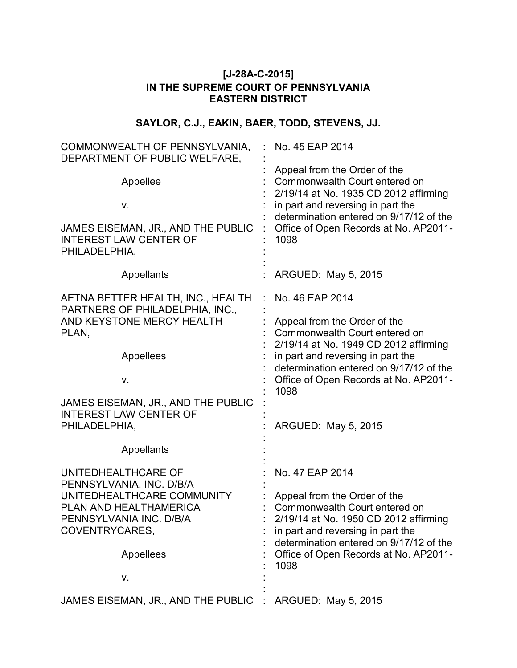## **[J-28A-C-2015] IN THE SUPREME COURT OF PENNSYLVANIA EASTERN DISTRICT**

# **SAYLOR, C.J., EAKIN, BAER, TODD, STEVENS, JJ.**

| COMMONWEALTH OF PENNSYLVANIA,<br>DEPARTMENT OF PUBLIC WELFARE,                       | No. 45 EAP 2014                                                                                                                                                                        |
|--------------------------------------------------------------------------------------|----------------------------------------------------------------------------------------------------------------------------------------------------------------------------------------|
| Appellee<br>٧.                                                                       | Appeal from the Order of the<br>Commonwealth Court entered on<br>2/19/14 at No. 1935 CD 2012 affirming<br>in part and reversing in part the<br>determination entered on 9/17/12 of the |
| JAMES EISEMAN, JR., AND THE PUBLIC<br><b>INTEREST LAW CENTER OF</b><br>PHILADELPHIA, | Office of Open Records at No. AP2011-<br>1098                                                                                                                                          |
| Appellants                                                                           | ARGUED: May 5, 2015                                                                                                                                                                    |
| AETNA BETTER HEALTH, INC., HEALTH<br>PARTNERS OF PHILADELPHIA, INC.,                 | No. 46 EAP 2014                                                                                                                                                                        |
| AND KEYSTONE MERCY HEALTH<br>PLAN,                                                   | Appeal from the Order of the<br>Commonwealth Court entered on                                                                                                                          |
| Appellees                                                                            | 2/19/14 at No. 1949 CD 2012 affirming<br>in part and reversing in part the<br>determination entered on 9/17/12 of the                                                                  |
| V.                                                                                   | Office of Open Records at No. AP2011-<br>1098                                                                                                                                          |
| JAMES EISEMAN, JR., AND THE PUBLIC<br><b>INTEREST LAW CENTER OF</b>                  |                                                                                                                                                                                        |
| PHILADELPHIA,                                                                        | ARGUED: May 5, 2015                                                                                                                                                                    |
| Appellants                                                                           |                                                                                                                                                                                        |
| UNITEDHEALTHCARE OF<br>PENNSYLVANIA, INC. D/B/A                                      | No. 47 EAP 2014                                                                                                                                                                        |
| UNITEDHEALTHCARE COMMUNITY                                                           | Appeal from the Order of the                                                                                                                                                           |
| PLAN AND HEALTHAMERICA<br>PENNSYLVANIA INC. D/B/A                                    | Commonwealth Court entered on<br>2/19/14 at No. 1950 CD 2012 affirming                                                                                                                 |
| COVENTRYCARES,                                                                       | in part and reversing in part the                                                                                                                                                      |
| Appellees                                                                            | determination entered on 9/17/12 of the<br>Office of Open Records at No. AP2011-<br>1098                                                                                               |
| V.                                                                                   |                                                                                                                                                                                        |
| JAMES EISEMAN, JR., AND THE PUBLIC                                                   | ARGUED: May 5, 2015                                                                                                                                                                    |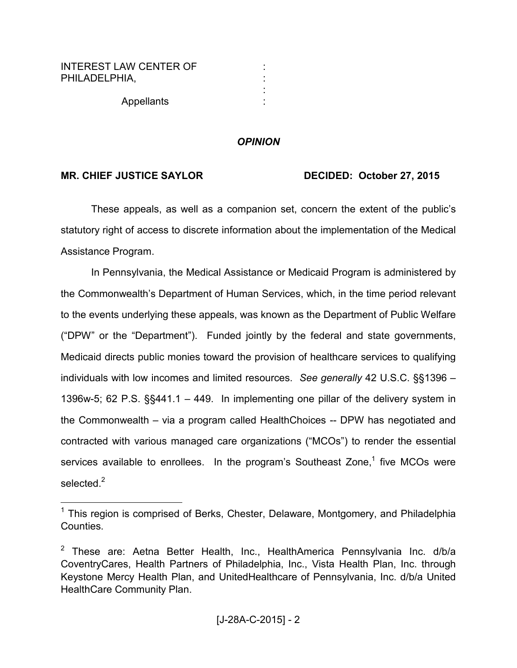| INTEREST LAW CENTER OF |   |
|------------------------|---|
| PHILADELPHIA.          |   |
|                        |   |
| Appellants             | ٠ |

-

### *OPINION*

## MR. CHIEF JUSTICE SAYLOR DECIDED: October 27, 2015

These appeals, as well as a companion set, concern the extent of the public's statutory right of access to discrete information about the implementation of the Medical Assistance Program.

In Pennsylvania, the Medical Assistance or Medicaid Program is administered by the Commonwealth's Department of Human Services, which, in the time period relevant to the events underlying these appeals, was known as the Department of Public Welfare ("DPW" or the "Department"). Funded jointly by the federal and state governments, Medicaid directs public monies toward the provision of healthcare services to qualifying individuals with low incomes and limited resources. *See generally* 42 U.S.C. §§1396 – 1396w-5; 62 P.S. §§441.1 – 449. In implementing one pillar of the delivery system in the Commonwealth – via a program called HealthChoices -- DPW has negotiated and contracted with various managed care organizations ("MCOs") to render the essential services available to enrollees. In the program's Southeast Zone,<sup>1</sup> five MCOs were selected.<sup>2</sup>

<sup>&</sup>lt;sup>1</sup> This region is comprised of Berks, Chester, Delaware, Montgomery, and Philadelphia Counties.

<sup>&</sup>lt;sup>2</sup> These are: Aetna Better Health, Inc., HealthAmerica Pennsylvania Inc. d/b/a CoventryCares, Health Partners of Philadelphia, Inc., Vista Health Plan, Inc. through Keystone Mercy Health Plan, and UnitedHealthcare of Pennsylvania, Inc. d/b/a United HealthCare Community Plan.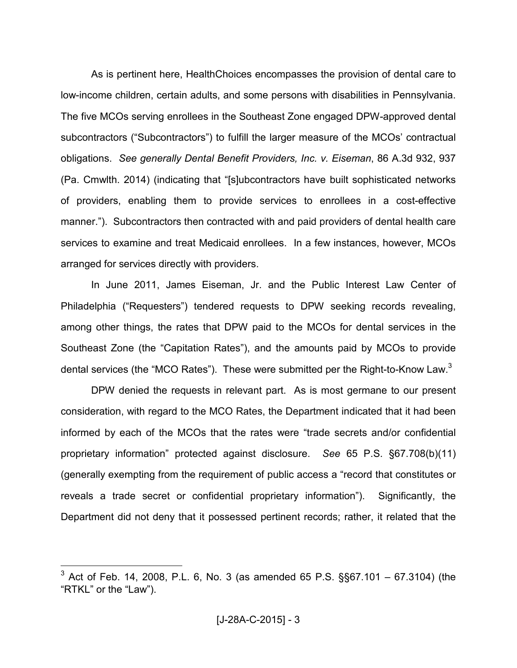As is pertinent here, HealthChoices encompasses the provision of dental care to low-income children, certain adults, and some persons with disabilities in Pennsylvania. The five MCOs serving enrollees in the Southeast Zone engaged DPW-approved dental subcontractors ("Subcontractors") to fulfill the larger measure of the MCOs' contractual obligations. *See generally Dental Benefit Providers, Inc. v. Eiseman*, 86 A.3d 932, 937 (Pa. Cmwlth. 2014) (indicating that "[s]ubcontractors have built sophisticated networks of providers, enabling them to provide services to enrollees in a cost-effective manner."). Subcontractors then contracted with and paid providers of dental health care services to examine and treat Medicaid enrollees. In a few instances, however, MCOs arranged for services directly with providers.

In June 2011, James Eiseman, Jr. and the Public Interest Law Center of Philadelphia ("Requesters") tendered requests to DPW seeking records revealing, among other things, the rates that DPW paid to the MCOs for dental services in the Southeast Zone (the "Capitation Rates"), and the amounts paid by MCOs to provide dental services (the "MCO Rates"). These were submitted per the Right-to-Know Law.<sup>3</sup>

DPW denied the requests in relevant part. As is most germane to our present consideration, with regard to the MCO Rates, the Department indicated that it had been informed by each of the MCOs that the rates were "trade secrets and/or confidential proprietary information" protected against disclosure. *See* 65 P.S. §67.708(b)(11) (generally exempting from the requirement of public access a "record that constitutes or reveals a trade secret or confidential proprietary information"). Significantly, the Department did not deny that it possessed pertinent records; rather, it related that the

<sup>&</sup>lt;sup>3</sup> Act of Feb. 14, 2008, P.L. 6, No. 3 (as amended 65 P.S.  $\S$  $\S$ 67.101 – 67.3104) (the "RTKL" or the "Law").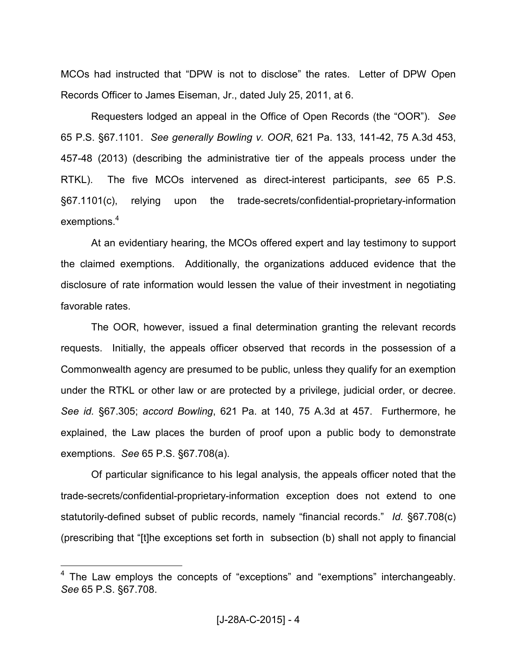MCOs had instructed that "DPW is not to disclose" the rates. Letter of DPW Open Records Officer to James Eiseman, Jr., dated July 25, 2011, at 6.

Requesters lodged an appeal in the Office of Open Records (the "OOR"). *See* 65 P.S. §67.1101. *See generally Bowling v. OOR*, 621 Pa. 133, 141-42, 75 A.3d 453, 457-48 (2013) (describing the administrative tier of the appeals process under the RTKL). The five MCOs intervened as direct-interest participants, *see* 65 P.S. §67.1101(c), relying upon the trade-secrets/confidential-proprietary-information exemptions.<sup>4</sup>

At an evidentiary hearing, the MCOs offered expert and lay testimony to support the claimed exemptions. Additionally, the organizations adduced evidence that the disclosure of rate information would lessen the value of their investment in negotiating favorable rates.

The OOR, however, issued a final determination granting the relevant records requests. Initially, the appeals officer observed that records in the possession of a Commonwealth agency are presumed to be public, unless they qualify for an exemption under the RTKL or other law or are protected by a privilege, judicial order, or decree. *See id.* §67.305; *accord Bowling*, 621 Pa. at 140, 75 A.3d at 457. Furthermore, he explained, the Law places the burden of proof upon a public body to demonstrate exemptions. *See* 65 P.S. §67.708(a).

Of particular significance to his legal analysis, the appeals officer noted that the trade-secrets/confidential-proprietary-information exception does not extend to one statutorily-defined subset of public records, namely "financial records." *Id.* §67.708(c) (prescribing that "[t]he exceptions set forth in subsection (b) shall not apply to financial

<sup>&</sup>lt;sup>4</sup> The Law employs the concepts of "exceptions" and "exemptions" interchangeably. *See* 65 P.S. §67.708.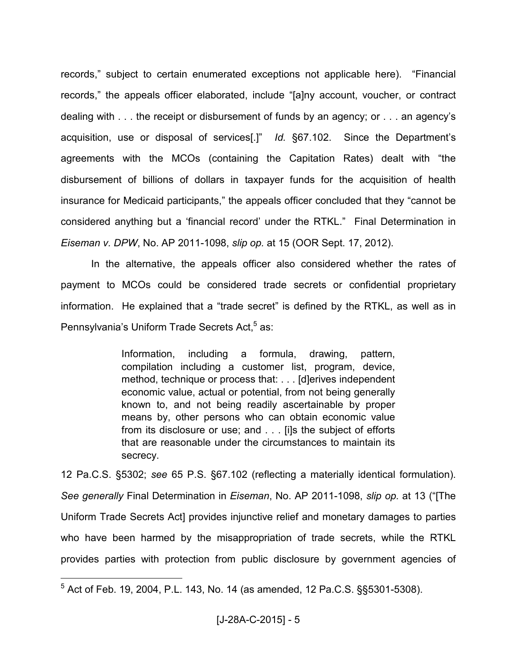records," subject to certain enumerated exceptions not applicable here). "Financial records," the appeals officer elaborated, include "[a]ny account, voucher, or contract dealing with . . . the receipt or disbursement of funds by an agency; or . . . an agency's acquisition, use or disposal of services[.]" *Id.* §67.102. Since the Department's agreements with the MCOs (containing the Capitation Rates) dealt with "the disbursement of billions of dollars in taxpayer funds for the acquisition of health insurance for Medicaid participants," the appeals officer concluded that they "cannot be considered anything but a 'financial record' under the RTKL." Final Determination in *Eiseman v. DPW*, No. AP 2011-1098, *slip op.* at 15 (OOR Sept. 17, 2012).

In the alternative, the appeals officer also considered whether the rates of payment to MCOs could be considered trade secrets or confidential proprietary information. He explained that a "trade secret" is defined by the RTKL, as well as in Pennsylvania's Uniform Trade Secrets Act,<sup>5</sup> as:

> Information, including a formula, drawing, pattern, compilation including a customer list, program, device, method, technique or process that: . . . [d]erives independent economic value, actual or potential, from not being generally known to, and not being readily ascertainable by proper means by, other persons who can obtain economic value from its disclosure or use; and . . . [i]s the subject of efforts that are reasonable under the circumstances to maintain its secrecy.

12 Pa.C.S. §5302; *see* 65 P.S. §67.102 (reflecting a materially identical formulation). *See generally* Final Determination in *Eiseman*, No. AP 2011-1098, *slip op.* at 13 ("[The Uniform Trade Secrets Act] provides injunctive relief and monetary damages to parties who have been harmed by the misappropriation of trade secrets, while the RTKL provides parties with protection from public disclosure by government agencies of

 $^5$  Act of Feb. 19, 2004, P.L. 143, No. 14 (as amended, 12 Pa.C.S. §§5301-5308).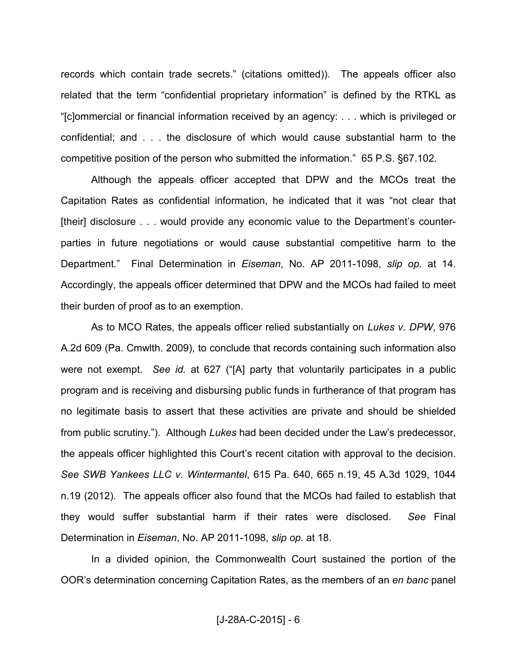records which contain trade secrets." (citations omitted)). The appeals officer also related that the term "confidential proprietary information" is defined by the RTKL as "[c]ommercial or financial information received by an agency: . . . which is privileged or confidential; and . . . the disclosure of which would cause substantial harm to the competitive position of the person who submitted the information." 65 P.S. §67.102.

Although the appeals officer accepted that DPW and the MCOs treat the Capitation Rates as confidential information, he indicated that it was "not clear that [their] disclosure . . . would provide any economic value to the Department's counterparties in future negotiations or would cause substantial competitive harm to the Department." Final Determination in *Eiseman*, No. AP 2011-1098, *slip op.* at 14. Accordingly, the appeals officer determined that DPW and the MCOs had failed to meet their burden of proof as to an exemption.

As to MCO Rates, the appeals officer relied substantially on *Lukes v. DPW*, 976 A.2d 609 (Pa. Cmwlth. 2009), to conclude that records containing such information also were not exempt. *See id.* at 627 ("[A] party that voluntarily participates in a public program and is receiving and disbursing public funds in furtherance of that program has no legitimate basis to assert that these activities are private and should be shielded from public scrutiny."). Although *Lukes* had been decided under the Law's predecessor, the appeals officer highlighted this Court's recent citation with approval to the decision. *See SWB Yankees LLC v. Wintermantel*, 615 Pa. 640, 665 n.19, 45 A.3d 1029, 1044 n.19 (2012). The appeals officer also found that the MCOs had failed to establish that they would suffer substantial harm if their rates were disclosed. *See* Final Determination in *Eiseman*, No. AP 2011-1098, *slip op.* at 18.

In a divided opinion, the Commonwealth Court sustained the portion of the OOR's determination concerning Capitation Rates, as the members of an *en banc* panel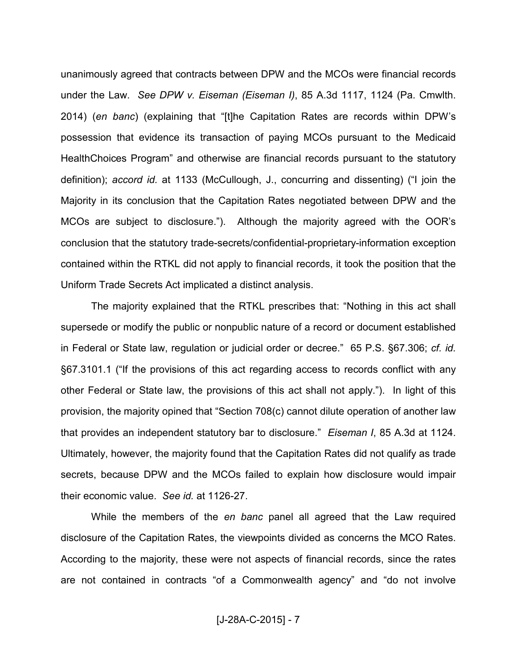unanimously agreed that contracts between DPW and the MCOs were financial records under the Law. *See DPW v. Eiseman (Eiseman I)*, 85 A.3d 1117, 1124 (Pa. Cmwlth. 2014) (*en banc*) (explaining that "[t]he Capitation Rates are records within DPW's possession that evidence its transaction of paying MCOs pursuant to the Medicaid HealthChoices Program" and otherwise are financial records pursuant to the statutory definition); *accord id.* at 1133 (McCullough, J., concurring and dissenting) ("I join the Majority in its conclusion that the Capitation Rates negotiated between DPW and the MCOs are subject to disclosure."). Although the majority agreed with the OOR's conclusion that the statutory trade-secrets/confidential-proprietary-information exception contained within the RTKL did not apply to financial records, it took the position that the Uniform Trade Secrets Act implicated a distinct analysis.

The majority explained that the RTKL prescribes that: "Nothing in this act shall supersede or modify the public or nonpublic nature of a record or document established in Federal or State law, regulation or judicial order or decree." 65 P.S. §67.306; *cf. id.* §67.3101.1 ("If the provisions of this act regarding access to records conflict with any other Federal or State law, the provisions of this act shall not apply."). In light of this provision, the majority opined that "Section 708(c) cannot dilute operation of another law that provides an independent statutory bar to disclosure." *Eiseman I*, 85 A.3d at 1124. Ultimately, however, the majority found that the Capitation Rates did not qualify as trade secrets, because DPW and the MCOs failed to explain how disclosure would impair their economic value. *See id.* at 1126-27.

While the members of the *en banc* panel all agreed that the Law required disclosure of the Capitation Rates, the viewpoints divided as concerns the MCO Rates. According to the majority, these were not aspects of financial records, since the rates are not contained in contracts "of a Commonwealth agency" and "do not involve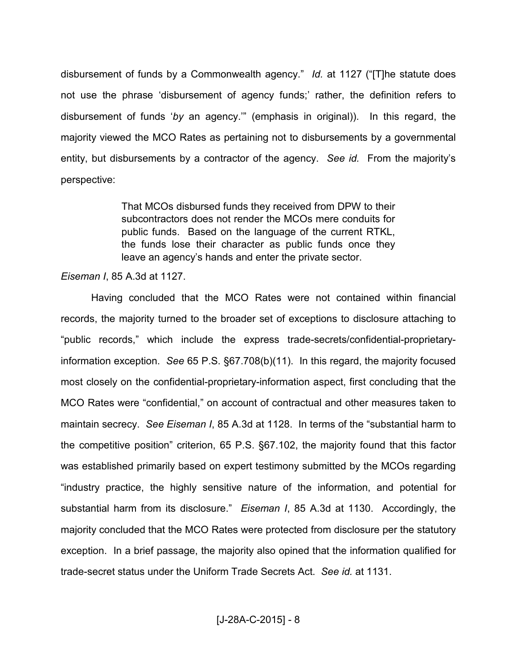disbursement of funds by a Commonwealth agency." *Id.* at 1127 ("[T]he statute does not use the phrase 'disbursement of agency funds;' rather, the definition refers to disbursement of funds '*by* an agency.'" (emphasis in original)). In this regard, the majority viewed the MCO Rates as pertaining not to disbursements by a governmental entity, but disbursements by a contractor of the agency. *See id.* From the majority's perspective:

> That MCOs disbursed funds they received from DPW to their subcontractors does not render the MCOs mere conduits for public funds. Based on the language of the current RTKL, the funds lose their character as public funds once they leave an agency's hands and enter the private sector.

#### *Eiseman I*, 85 A.3d at 1127.

Having concluded that the MCO Rates were not contained within financial records, the majority turned to the broader set of exceptions to disclosure attaching to "public records," which include the express trade-secrets/confidential-proprietaryinformation exception. *See* 65 P.S. §67.708(b)(11). In this regard, the majority focused most closely on the confidential-proprietary-information aspect, first concluding that the MCO Rates were "confidential," on account of contractual and other measures taken to maintain secrecy. *See Eiseman I*, 85 A.3d at 1128. In terms of the "substantial harm to the competitive position" criterion, 65 P.S. §67.102, the majority found that this factor was established primarily based on expert testimony submitted by the MCOs regarding "industry practice, the highly sensitive nature of the information, and potential for substantial harm from its disclosure." *Eiseman I*, 85 A.3d at 1130. Accordingly, the majority concluded that the MCO Rates were protected from disclosure per the statutory exception. In a brief passage, the majority also opined that the information qualified for trade-secret status under the Uniform Trade Secrets Act. *See id.* at 1131.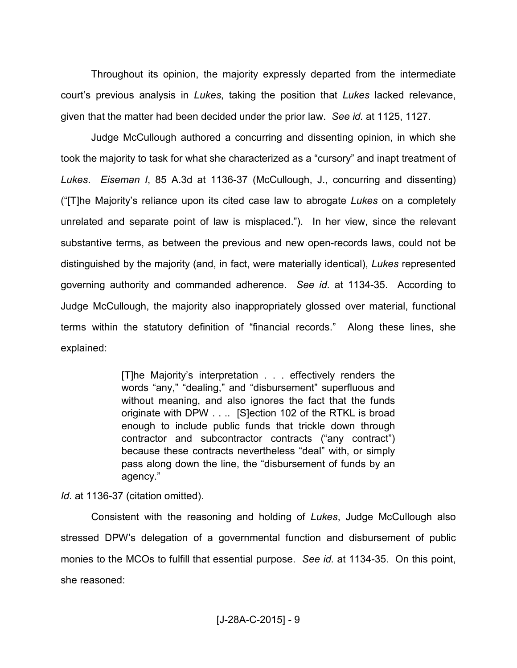Throughout its opinion, the majority expressly departed from the intermediate court's previous analysis in *Lukes*, taking the position that *Lukes* lacked relevance, given that the matter had been decided under the prior law. *See id.* at 1125, 1127.

Judge McCullough authored a concurring and dissenting opinion, in which she took the majority to task for what she characterized as a "cursory" and inapt treatment of *Lukes*. *Eiseman I*, 85 A.3d at 1136-37 (McCullough, J., concurring and dissenting) ("[T]he Majority's reliance upon its cited case law to abrogate *Lukes* on a completely unrelated and separate point of law is misplaced."). In her view, since the relevant substantive terms, as between the previous and new open-records laws, could not be distinguished by the majority (and, in fact, were materially identical), *Lukes* represented governing authority and commanded adherence. *See id.* at 1134-35. According to Judge McCullough, the majority also inappropriately glossed over material, functional terms within the statutory definition of "financial records." Along these lines, she explained:

> [T]he Majority's interpretation . . . effectively renders the words "any," "dealing," and "disbursement" superfluous and without meaning, and also ignores the fact that the funds originate with DPW . . .. [S]ection 102 of the RTKL is broad enough to include public funds that trickle down through contractor and subcontractor contracts ("any contract") because these contracts nevertheless "deal" with, or simply pass along down the line, the "disbursement of funds by an agency."

*Id.* at 1136-37 (citation omitted).

Consistent with the reasoning and holding of *Lukes*, Judge McCullough also stressed DPW's delegation of a governmental function and disbursement of public monies to the MCOs to fulfill that essential purpose. *See id.* at 1134-35. On this point, she reasoned: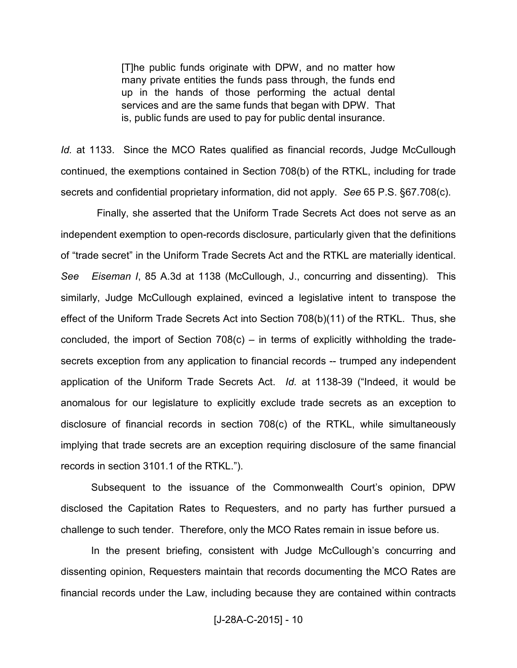[T]he public funds originate with DPW, and no matter how many private entities the funds pass through, the funds end up in the hands of those performing the actual dental services and are the same funds that began with DPW. That is, public funds are used to pay for public dental insurance.

*Id.* at 1133. Since the MCO Rates qualified as financial records, Judge McCullough continued, the exemptions contained in Section 708(b) of the RTKL, including for trade secrets and confidential proprietary information, did not apply. *See* 65 P.S. §67.708(c).

 Finally, she asserted that the Uniform Trade Secrets Act does not serve as an independent exemption to open-records disclosure, particularly given that the definitions of "trade secret" in the Uniform Trade Secrets Act and the RTKL are materially identical. *See Eiseman I*, 85 A.3d at 1138 (McCullough, J., concurring and dissenting). This similarly, Judge McCullough explained, evinced a legislative intent to transpose the effect of the Uniform Trade Secrets Act into Section 708(b)(11) of the RTKL. Thus, she concluded, the import of Section  $708(c)$  – in terms of explicitly withholding the tradesecrets exception from any application to financial records -- trumped any independent application of the Uniform Trade Secrets Act. *Id.* at 1138-39 ("Indeed, it would be anomalous for our legislature to explicitly exclude trade secrets as an exception to disclosure of financial records in section 708(c) of the RTKL, while simultaneously implying that trade secrets are an exception requiring disclosure of the same financial records in section 3101.1 of the RTKL.").

Subsequent to the issuance of the Commonwealth Court's opinion, DPW disclosed the Capitation Rates to Requesters, and no party has further pursued a challenge to such tender. Therefore, only the MCO Rates remain in issue before us.

In the present briefing, consistent with Judge McCullough's concurring and dissenting opinion, Requesters maintain that records documenting the MCO Rates are financial records under the Law, including because they are contained within contracts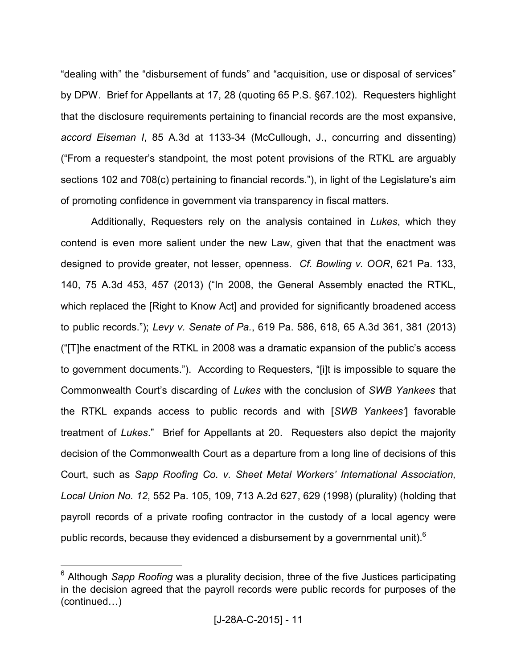"dealing with" the "disbursement of funds" and "acquisition, use or disposal of services" by DPW. Brief for Appellants at 17, 28 (quoting 65 P.S. §67.102). Requesters highlight that the disclosure requirements pertaining to financial records are the most expansive, *accord Eiseman I*, 85 A.3d at 1133-34 (McCullough, J., concurring and dissenting) ("From a requester's standpoint, the most potent provisions of the RTKL are arguably sections 102 and 708(c) pertaining to financial records."), in light of the Legislature's aim of promoting confidence in government via transparency in fiscal matters.

Additionally, Requesters rely on the analysis contained in *Lukes*, which they contend is even more salient under the new Law, given that that the enactment was designed to provide greater, not lesser, openness. *Cf. Bowling v. OOR*, 621 Pa. 133, 140, 75 A.3d 453, 457 (2013) ("In 2008, the General Assembly enacted the RTKL, which replaced the [Right to Know Act] and provided for significantly broadened access to public records."); *Levy v. Senate of Pa.*, 619 Pa. 586, 618, 65 A.3d 361, 381 (2013) ("[T]he enactment of the RTKL in 2008 was a dramatic expansion of the public's access to government documents."). According to Requesters, "[i]t is impossible to square the Commonwealth Court's discarding of *Lukes* with the conclusion of *SWB Yankees* that the RTKL expands access to public records and with [*SWB Yankees'*] favorable treatment of *Lukes*." Brief for Appellants at 20. Requesters also depict the majority decision of the Commonwealth Court as a departure from a long line of decisions of this Court, such as *Sapp Roofing Co. v. Sheet Metal Workers' International Association, Local Union No. 12*, 552 Pa. 105, 109, 713 A.2d 627, 629 (1998) (plurality) (holding that payroll records of a private roofing contractor in the custody of a local agency were public records, because they evidenced a disbursement by a governmental unit). $6$ 

<sup>&</sup>lt;sup>6</sup> Although *Sapp Roofing* was a plurality decision, three of the five Justices participating in the decision agreed that the payroll records were public records for purposes of the  $(continued...)$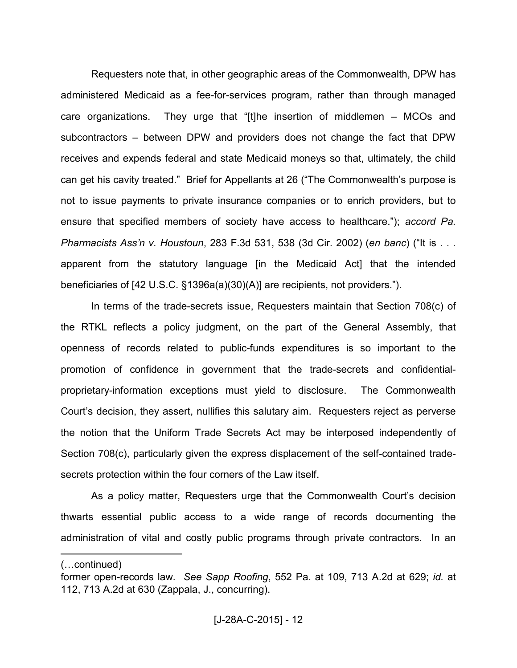Requesters note that, in other geographic areas of the Commonwealth, DPW has administered Medicaid as a fee-for-services program, rather than through managed care organizations. They urge that "[t]he insertion of middlemen – MCOs and subcontractors – between DPW and providers does not change the fact that DPW receives and expends federal and state Medicaid moneys so that, ultimately, the child can get his cavity treated." Brief for Appellants at 26 ("The Commonwealth's purpose is not to issue payments to private insurance companies or to enrich providers, but to ensure that specified members of society have access to healthcare."); *accord Pa. Pharmacists Ass'n v. Houstoun*, 283 F.3d 531, 538 (3d Cir. 2002) (*en banc*) ("It is . . . apparent from the statutory language [in the Medicaid Act] that the intended beneficiaries of [42 U.S.C. §1396a(a)(30)(A)] are recipients, not providers.").

In terms of the trade-secrets issue, Requesters maintain that Section 708(c) of the RTKL reflects a policy judgment, on the part of the General Assembly, that openness of records related to public-funds expenditures is so important to the promotion of confidence in government that the trade-secrets and confidentialproprietary-information exceptions must yield to disclosure. The Commonwealth Court's decision, they assert, nullifies this salutary aim. Requesters reject as perverse the notion that the Uniform Trade Secrets Act may be interposed independently of Section 708(c), particularly given the express displacement of the self-contained tradesecrets protection within the four corners of the Law itself.

As a policy matter, Requesters urge that the Commonwealth Court's decision thwarts essential public access to a wide range of records documenting the administration of vital and costly public programs through private contractors. In an

<sup>(...</sup>continued)

former open-records law. *See Sapp Roofing*, 552 Pa. at 109, 713 A.2d at 629; *id.* at 112, 713 A.2d at 630 (Zappala, J., concurring).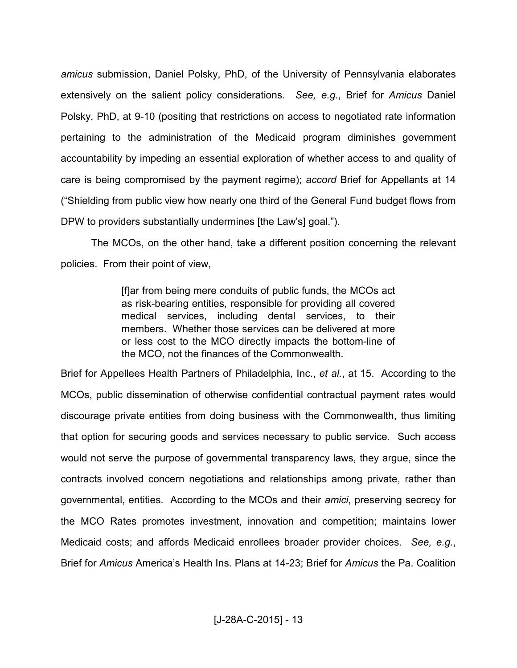*amicus* submission, Daniel Polsky, PhD, of the University of Pennsylvania elaborates extensively on the salient policy considerations. *See, e.g.*, Brief for *Amicus* Daniel Polsky, PhD, at 9-10 (positing that restrictions on access to negotiated rate information pertaining to the administration of the Medicaid program diminishes government accountability by impeding an essential exploration of whether access to and quality of care is being compromised by the payment regime); *accord* Brief for Appellants at 14 ("Shielding from public view how nearly one third of the General Fund budget flows from DPW to providers substantially undermines [the Law's] goal.").

The MCOs, on the other hand, take a different position concerning the relevant policies. From their point of view,

> [f]ar from being mere conduits of public funds, the MCOs act as risk-bearing entities, responsible for providing all covered medical services, including dental services, to their members. Whether those services can be delivered at more or less cost to the MCO directly impacts the bottom-line of the MCO, not the finances of the Commonwealth.

Brief for Appellees Health Partners of Philadelphia, Inc., *et al.*, at 15. According to the MCOs, public dissemination of otherwise confidential contractual payment rates would discourage private entities from doing business with the Commonwealth, thus limiting that option for securing goods and services necessary to public service. Such access would not serve the purpose of governmental transparency laws, they argue, since the contracts involved concern negotiations and relationships among private, rather than governmental, entities. According to the MCOs and their *amici*, preserving secrecy for the MCO Rates promotes investment, innovation and competition; maintains lower Medicaid costs; and affords Medicaid enrollees broader provider choices. *See, e.g.*, Brief for *Amicus* America's Health Ins. Plans at 14-23; Brief for *Amicus* the Pa. Coalition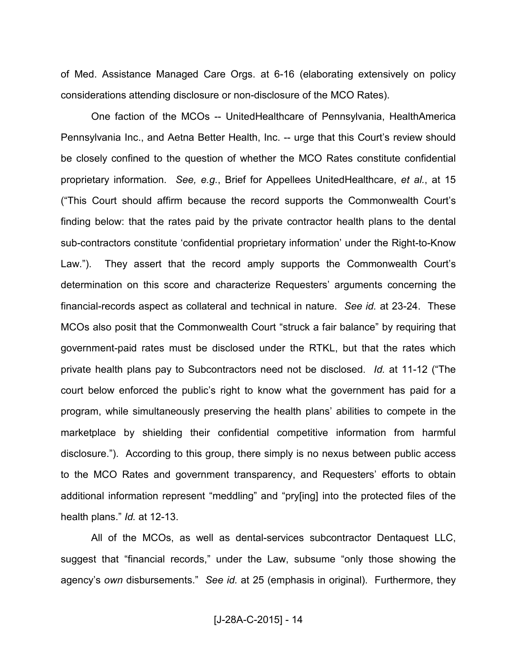of Med. Assistance Managed Care Orgs. at 6-16 (elaborating extensively on policy considerations attending disclosure or non-disclosure of the MCO Rates).

One faction of the MCOs -- UnitedHealthcare of Pennsylvania, HealthAmerica Pennsylvania Inc., and Aetna Better Health, Inc. -- urge that this Court's review should be closely confined to the question of whether the MCO Rates constitute confidential proprietary information. *See, e.g.*, Brief for Appellees UnitedHealthcare, *et al.*, at 15 ("This Court should affirm because the record supports the Commonwealth Court's finding below: that the rates paid by the private contractor health plans to the dental sub-contractors constitute 'confidential proprietary information' under the Right-to-Know Law."). They assert that the record amply supports the Commonwealth Court's determination on this score and characterize Requesters' arguments concerning the financial-records aspect as collateral and technical in nature. *See id.* at 23-24. These MCOs also posit that the Commonwealth Court "struck a fair balance" by requiring that government-paid rates must be disclosed under the RTKL, but that the rates which private health plans pay to Subcontractors need not be disclosed. *Id.* at 11-12 ("The court below enforced the public's right to know what the government has paid for a program, while simultaneously preserving the health plans' abilities to compete in the marketplace by shielding their confidential competitive information from harmful disclosure."). According to this group, there simply is no nexus between public access to the MCO Rates and government transparency, and Requesters' efforts to obtain additional information represent "meddling" and "pry[ing] into the protected files of the health plans." *Id.* at 12-13.

All of the MCOs, as well as dental-services subcontractor Dentaquest LLC, suggest that "financial records," under the Law, subsume "only those showing the agency's *own* disbursements." *See id.* at 25 (emphasis in original). Furthermore, they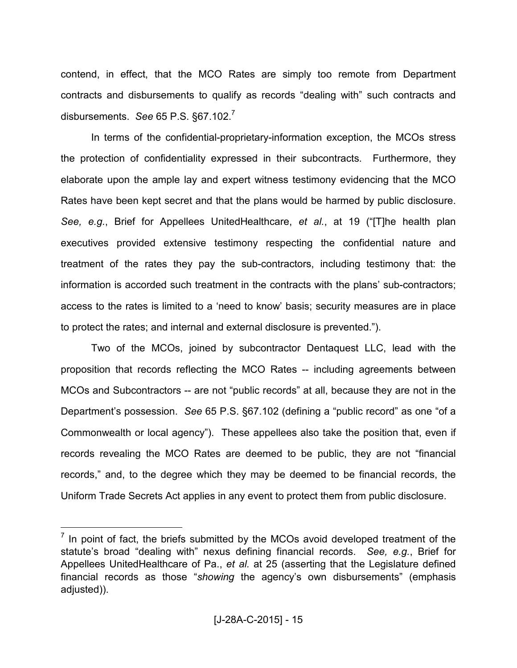contend, in effect, that the MCO Rates are simply too remote from Department contracts and disbursements to qualify as records "dealing with" such contracts and disbursements. *See* 65 P.S. §67.102.<sup>7</sup>

In terms of the confidential-proprietary-information exception, the MCOs stress the protection of confidentiality expressed in their subcontracts. Furthermore, they elaborate upon the ample lay and expert witness testimony evidencing that the MCO Rates have been kept secret and that the plans would be harmed by public disclosure. *See, e.g.*, Brief for Appellees UnitedHealthcare, *et al.*, at 19 ("[T]he health plan executives provided extensive testimony respecting the confidential nature and treatment of the rates they pay the sub-contractors, including testimony that: the information is accorded such treatment in the contracts with the plans' sub-contractors; access to the rates is limited to a 'need to know' basis; security measures are in place to protect the rates; and internal and external disclosure is prevented.").

Two of the MCOs, joined by subcontractor Dentaquest LLC, lead with the proposition that records reflecting the MCO Rates -- including agreements between MCOs and Subcontractors -- are not "public records" at all, because they are not in the Department's possession. *See* 65 P.S. §67.102 (defining a "public record" as one "of a Commonwealth or local agency").These appellees also take the position that, even if records revealing the MCO Rates are deemed to be public, they are not "financial records," and, to the degree which they may be deemed to be financial records, the Uniform Trade Secrets Act applies in any event to protect them from public disclosure.

 $<sup>7</sup>$  In point of fact, the briefs submitted by the MCOs avoid developed treatment of the</sup> statute's broad "dealing with" nexus defining financial records. *See, e.g.*, Brief for Appellees UnitedHealthcare of Pa., *et al.* at 25 (asserting that the Legislature defined financial records as those "*showing* the agency's own disbursements" (emphasis adjusted)).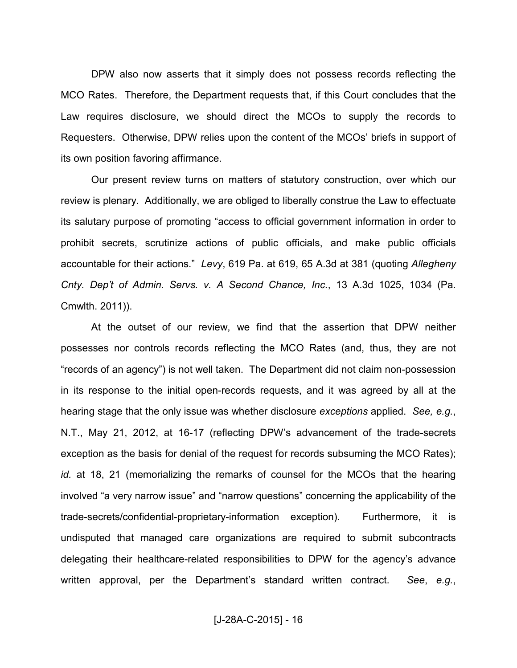DPW also now asserts that it simply does not possess records reflecting the MCO Rates. Therefore, the Department requests that, if this Court concludes that the Law requires disclosure, we should direct the MCOs to supply the records to Requesters. Otherwise, DPW relies upon the content of the MCOs' briefs in support of its own position favoring affirmance.

Our present review turns on matters of statutory construction, over which our review is plenary. Additionally, we are obliged to liberally construe the Law to effectuate its salutary purpose of promoting "access to official government information in order to prohibit secrets, scrutinize actions of public officials, and make public officials accountable for their actions." *Levy*, 619 Pa. at 619, 65 A.3d at 381 (quoting *Allegheny Cnty. Dep't of Admin. Servs. v. A Second Chance, Inc.*, 13 A.3d 1025, 1034 (Pa. Cmwlth. 2011)).

At the outset of our review, we find that the assertion that DPW neither possesses nor controls records reflecting the MCO Rates (and, thus, they are not "records of an agency") is not well taken. The Department did not claim non-possession in its response to the initial open-records requests, and it was agreed by all at the hearing stage that the only issue was whether disclosure *exceptions* applied. *See, e.g.*, N.T., May 21, 2012, at 16-17 (reflecting DPW's advancement of the trade-secrets exception as the basis for denial of the request for records subsuming the MCO Rates); *id.* at 18, 21 (memorializing the remarks of counsel for the MCOs that the hearing involved "a very narrow issue" and "narrow questions" concerning the applicability of the trade-secrets/confidential-proprietary-information exception). Furthermore, it is undisputed that managed care organizations are required to submit subcontracts delegating their healthcare-related responsibilities to DPW for the agency's advance written approval, per the Department's standard written contract. *See*, *e.g.*,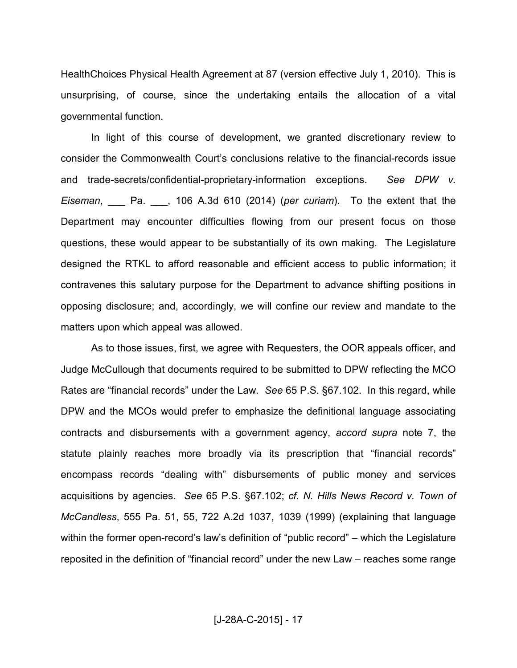HealthChoices Physical Health Agreement at 87 (version effective July 1, 2010). This is unsurprising, of course, since the undertaking entails the allocation of a vital governmental function.

In light of this course of development, we granted discretionary review to consider the Commonwealth Court's conclusions relative to the financial-records issue and trade-secrets/confidential-proprietary-information exceptions. *See DPW v. Eiseman*, \_\_\_ Pa. \_\_\_, 106 A.3d 610 (2014) (*per curiam*). To the extent that the Department may encounter difficulties flowing from our present focus on those questions, these would appear to be substantially of its own making. The Legislature designed the RTKL to afford reasonable and efficient access to public information; it contravenes this salutary purpose for the Department to advance shifting positions in opposing disclosure; and, accordingly, we will confine our review and mandate to the matters upon which appeal was allowed.

As to those issues, first, we agree with Requesters, the OOR appeals officer, and Judge McCullough that documents required to be submitted to DPW reflecting the MCO Rates are "financial records" under the Law. *See* 65 P.S. §67.102. In this regard, while DPW and the MCOs would prefer to emphasize the definitional language associating contracts and disbursements with a government agency, *accord supra* note 7, the statute plainly reaches more broadly via its prescription that "financial records" encompass records "dealing with" disbursements of public money and services acquisitions by agencies. *See* 65 P.S. §67.102; *cf. N. Hills News Record v. Town of McCandless*, 555 Pa. 51, 55, 722 A.2d 1037, 1039 (1999) (explaining that language within the former open-record's law's definition of "public record" – which the Legislature reposited in the definition of "financial record" under the new Law – reaches some range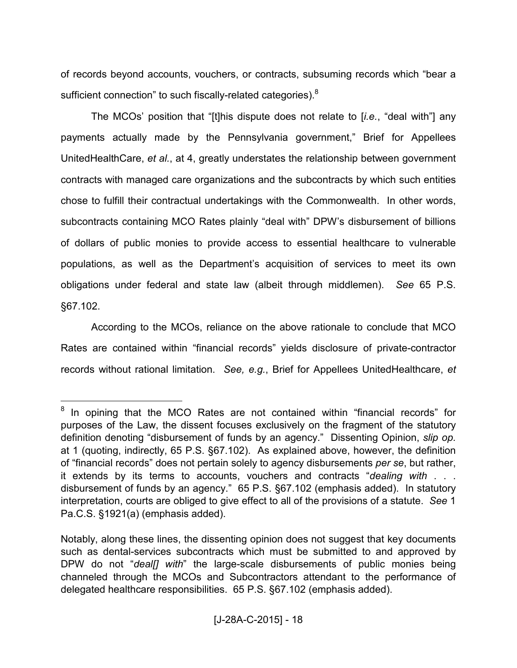of records beyond accounts, vouchers, or contracts, subsuming records which "bear a sufficient connection" to such fiscally-related categories).<sup>8</sup>

The MCOs' position that "[t]his dispute does not relate to [*i.e.*, "deal with"] any payments actually made by the Pennsylvania government," Brief for Appellees UnitedHealthCare, *et al.*, at 4, greatly understates the relationship between government contracts with managed care organizations and the subcontracts by which such entities chose to fulfill their contractual undertakings with the Commonwealth. In other words, subcontracts containing MCO Rates plainly "deal with" DPW's disbursement of billions of dollars of public monies to provide access to essential healthcare to vulnerable populations, as well as the Department's acquisition of services to meet its own obligations under federal and state law (albeit through middlemen). *See* 65 P.S. §67.102.

According to the MCOs, reliance on the above rationale to conclude that MCO Rates are contained within "financial records" yields disclosure of private-contractor records without rational limitation. *See, e.g.*, Brief for Appellees UnitedHealthcare, *et* 

 $8$  In opining that the MCO Rates are not contained within "financial records" for purposes of the Law, the dissent focuses exclusively on the fragment of the statutory definition denoting "disbursement of funds by an agency." Dissenting Opinion, *slip op.* at 1 (quoting, indirectly, 65 P.S. §67.102). As explained above, however, the definition of "financial records" does not pertain solely to agency disbursements *per se*, but rather, it extends by its terms to accounts, vouchers and contracts "*dealing with* . . . disbursement of funds by an agency." 65 P.S. §67.102 (emphasis added). In statutory interpretation, courts are obliged to give effect to all of the provisions of a statute. *See* 1 Pa.C.S. §1921(a) (emphasis added).

Notably, along these lines, the dissenting opinion does not suggest that key documents such as dental-services subcontracts which must be submitted to and approved by DPW do not "*deal[] with*" the large-scale disbursements of public monies being channeled through the MCOs and Subcontractors attendant to the performance of delegated healthcare responsibilities. 65 P.S. §67.102 (emphasis added).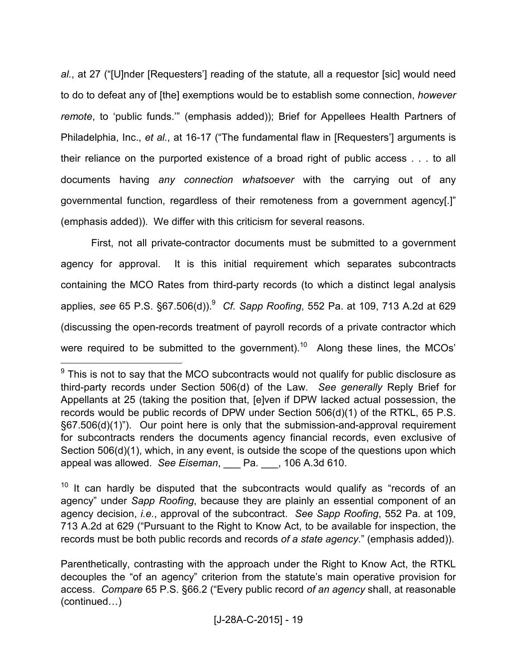*al.*, at 27 ("[U]nder [Requesters'] reading of the statute, all a requestor [sic] would need to do to defeat any of [the] exemptions would be to establish some connection, *however remote*, to 'public funds.'" (emphasis added)); Brief for Appellees Health Partners of Philadelphia, Inc., *et al.*, at 16-17 ("The fundamental flaw in [Requesters'] arguments is their reliance on the purported existence of a broad right of public access . . . to all documents having *any connection whatsoever* with the carrying out of any governmental function, regardless of their remoteness from a government agency[.]" (emphasis added)). We differ with this criticism for several reasons.

First, not all private-contractor documents must be submitted to a government agency for approval. It is this initial requirement which separates subcontracts containing the MCO Rates from third-party records (to which a distinct legal analysis applies, *see* 65 P.S. §67.506(d)).<sup>9</sup> *Cf. Sapp Roofing*, 552 Pa. at 109, 713 A.2d at 629 (discussing the open-records treatment of payroll records of a private contractor which were required to be submitted to the government).<sup>10</sup> Along these lines, the MCOs'

 $\overline{a}$ 

 $10$  It can hardly be disputed that the subcontracts would qualify as "records of an agency" under *Sapp Roofing*, because they are plainly an essential component of an agency decision, *i.e.*, approval of the subcontract. *See Sapp Roofing*, 552 Pa. at 109, 713 A.2d at 629 ("Pursuant to the Right to Know Act, to be available for inspection, the records must be both public records and records *of a state agency*." (emphasis added)).

 $9$  This is not to say that the MCO subcontracts would not qualify for public disclosure as third-party records under Section 506(d) of the Law. *See generally* Reply Brief for Appellants at 25 (taking the position that, [e]ven if DPW lacked actual possession, the records would be public records of DPW under Section 506(d)(1) of the RTKL, 65 P.S. §67.506(d)(1)"). Our point here is only that the submission-and-approval requirement for subcontracts renders the documents agency financial records, even exclusive of Section 506(d)(1), which, in any event, is outside the scope of the questions upon which appeal was allowed. *See Eiseman*, \_\_\_ Pa. \_\_\_, 106 A.3d 610.

Parenthetically, contrasting with the approach under the Right to Know Act, the RTKL decouples the "of an agency" criterion from the statute's main operative provision for access. *Compare* 65 P.S. §66.2 ("Every public record *of an agency* shall, at reasonable  $(continued...)$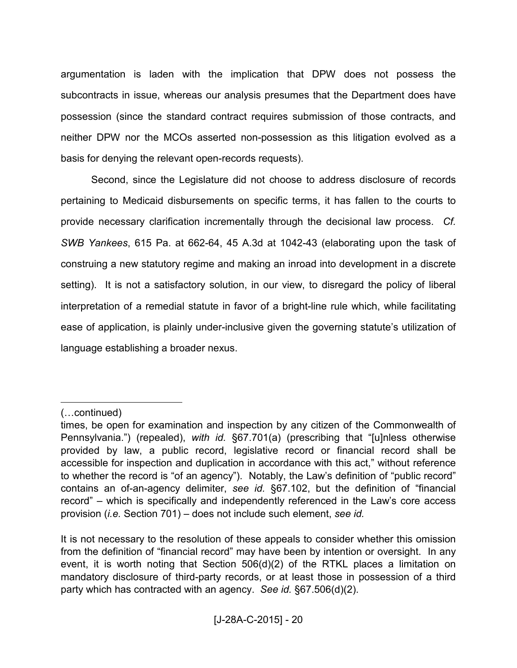argumentation is laden with the implication that DPW does not possess the subcontracts in issue, whereas our analysis presumes that the Department does have possession (since the standard contract requires submission of those contracts, and neither DPW nor the MCOs asserted non-possession as this litigation evolved as a basis for denying the relevant open-records requests).

Second, since the Legislature did not choose to address disclosure of records pertaining to Medicaid disbursements on specific terms, it has fallen to the courts to provide necessary clarification incrementally through the decisional law process. *Cf. SWB Yankees*, 615 Pa. at 662-64, 45 A.3d at 1042-43 (elaborating upon the task of construing a new statutory regime and making an inroad into development in a discrete setting). It is not a satisfactory solution, in our view, to disregard the policy of liberal interpretation of a remedial statute in favor of a bright-line rule which, while facilitating ease of application, is plainly under-inclusive given the governing statute's utilization of language establishing a broader nexus.

<sup>(...</sup>continued)

times, be open for examination and inspection by any citizen of the Commonwealth of Pennsylvania.") (repealed), *with id.* §67.701(a) (prescribing that "[u]nless otherwise provided by law, a public record, legislative record or financial record shall be accessible for inspection and duplication in accordance with this act," without reference to whether the record is "of an agency"). Notably, the Law's definition of "public record" contains an of-an-agency delimiter, *see id.* §67.102, but the definition of "financial record" – which is specifically and independently referenced in the Law's core access provision (*i.e.* Section 701) – does not include such element, *see id.*

It is not necessary to the resolution of these appeals to consider whether this omission from the definition of "financial record" may have been by intention or oversight. In any event, it is worth noting that Section 506(d)(2) of the RTKL places a limitation on mandatory disclosure of third-party records, or at least those in possession of a third party which has contracted with an agency. *See id.* §67.506(d)(2).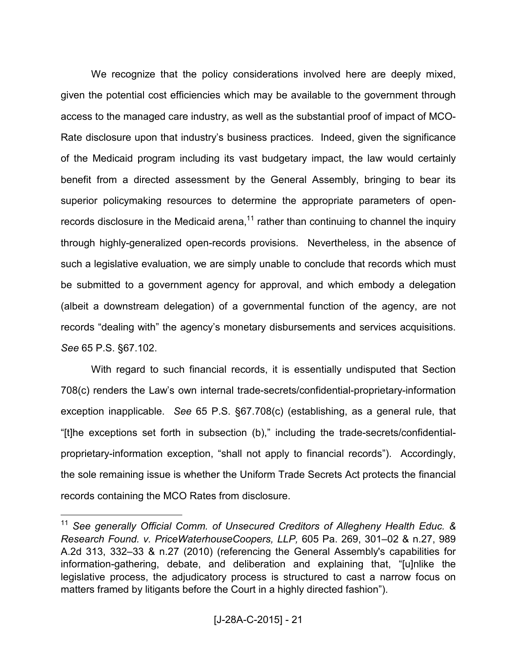We recognize that the policy considerations involved here are deeply mixed, given the potential cost efficiencies which may be available to the government through access to the managed care industry, as well as the substantial proof of impact of MCO-Rate disclosure upon that industry's business practices. Indeed, given the significance of the Medicaid program including its vast budgetary impact, the law would certainly benefit from a directed assessment by the General Assembly, bringing to bear its superior policymaking resources to determine the appropriate parameters of openrecords disclosure in the Medicaid arena,<sup>11</sup> rather than continuing to channel the inquiry through highly-generalized open-records provisions. Nevertheless, in the absence of such a legislative evaluation, we are simply unable to conclude that records which must be submitted to a government agency for approval, and which embody a delegation (albeit a downstream delegation) of a governmental function of the agency, are not records "dealing with" the agency's monetary disbursements and services acquisitions. *See* 65 P.S. §67.102.

With regard to such financial records, it is essentially undisputed that Section 708(c) renders the Law's own internal trade-secrets/confidential-proprietary-information exception inapplicable. *See* 65 P.S. §67.708(c) (establishing, as a general rule, that "[t]he exceptions set forth in subsection (b)," including the trade-secrets/confidentialproprietary-information exception, "shall not apply to financial records"). Accordingly, the sole remaining issue is whether the Uniform Trade Secrets Act protects the financial records containing the MCO Rates from disclosure.

<sup>11</sup> *See generally Official Comm. of Unsecured Creditors of Allegheny Health Educ. & Research Found. v. PriceWaterhouseCoopers, LLP,* 605 Pa. 269, 301–02 & n.27, 989 A.2d 313, 332–33 & n.27 (2010) (referencing the General Assembly's capabilities for information-gathering, debate, and deliberation and explaining that, "[u]nlike the legislative process, the adjudicatory process is structured to cast a narrow focus on matters framed by litigants before the Court in a highly directed fashion").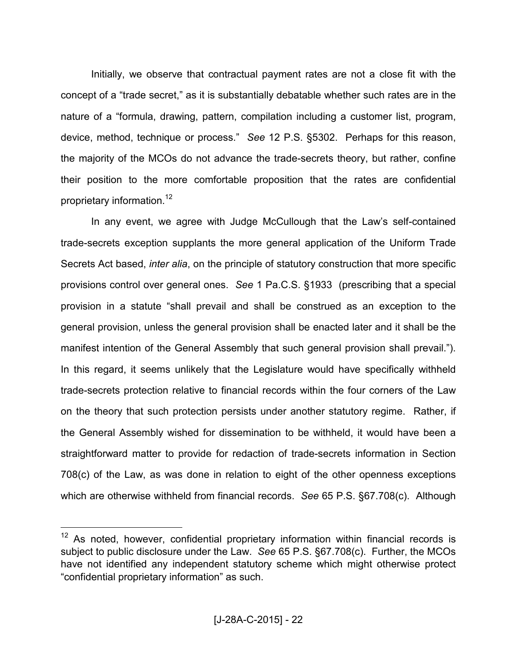Initially, we observe that contractual payment rates are not a close fit with the concept of a "trade secret," as it is substantially debatable whether such rates are in the nature of a "formula, drawing, pattern, compilation including a customer list, program, device, method, technique or process." *See* 12 P.S. §5302. Perhaps for this reason, the majority of the MCOs do not advance the trade-secrets theory, but rather, confine their position to the more comfortable proposition that the rates are confidential proprietary information.<sup>12</sup>

In any event, we agree with Judge McCullough that the Law's self-contained trade-secrets exception supplants the more general application of the Uniform Trade Secrets Act based, *inter alia*, on the principle of statutory construction that more specific provisions control over general ones. *See* 1 Pa.C.S. §1933 (prescribing that a special provision in a statute "shall prevail and shall be construed as an exception to the general provision, unless the general provision shall be enacted later and it shall be the manifest intention of the General Assembly that such general provision shall prevail."). In this regard, it seems unlikely that the Legislature would have specifically withheld trade-secrets protection relative to financial records within the four corners of the Law on the theory that such protection persists under another statutory regime. Rather, if the General Assembly wished for dissemination to be withheld, it would have been a straightforward matter to provide for redaction of trade-secrets information in Section 708(c) of the Law, as was done in relation to eight of the other openness exceptions which are otherwise withheld from financial records. *See* 65 P.S. §67.708(c). Although

 $12$  As noted, however, confidential proprietary information within financial records is subject to public disclosure under the Law. *See* 65 P.S. §67.708(c). Further, the MCOs have not identified any independent statutory scheme which might otherwise protect "confidential proprietary information" as such.